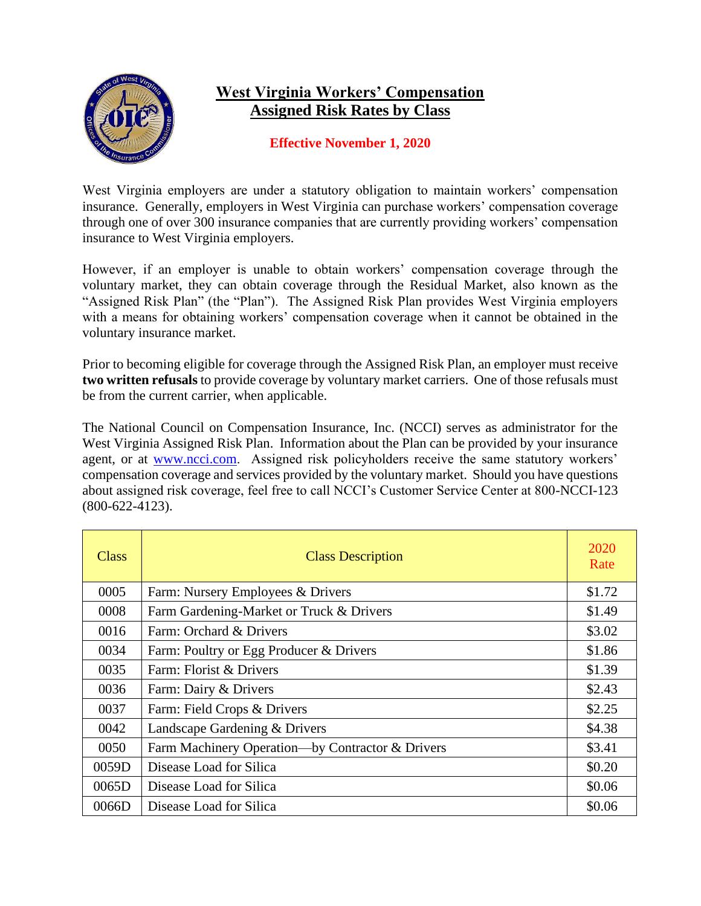

## **West Virginia Workers' Compensation Assigned Risk Rates by Class**

## **Effective November 1, 2020**

West Virginia employers are under a statutory obligation to maintain workers' compensation insurance. Generally, employers in West Virginia can purchase workers' compensation coverage through one of over 300 insurance companies that are currently providing workers' compensation insurance to West Virginia employers.

However, if an employer is unable to obtain workers' compensation coverage through the voluntary market, they can obtain coverage through the Residual Market, also known as the "Assigned Risk Plan" (the "Plan"). The Assigned Risk Plan provides West Virginia employers with a means for obtaining workers' compensation coverage when it cannot be obtained in the voluntary insurance market.

Prior to becoming eligible for coverage through the Assigned Risk Plan, an employer must receive **two written refusals** to provide coverage by voluntary market carriers. One of those refusals must be from the current carrier, when applicable.

The National Council on Compensation Insurance, Inc. (NCCI) serves as administrator for the West Virginia Assigned Risk Plan. Information about the Plan can be provided by your insurance agent, or at [www.ncci.com.](file://///oicbcnas01/users/JWARD/MISC-work/www.ncci.com) Assigned risk policyholders receive the same statutory workers' compensation coverage and services provided by the voluntary market. Should you have questions about assigned risk coverage, feel free to call NCCI's Customer Service Center at 800-NCCI-123 (800-622-4123).

| Class | <b>Class Description</b>                         | 2020<br>Rate |
|-------|--------------------------------------------------|--------------|
| 0005  | Farm: Nursery Employees & Drivers                | \$1.72       |
| 0008  | Farm Gardening-Market or Truck & Drivers         | \$1.49       |
| 0016  | Farm: Orchard & Drivers                          | \$3.02       |
| 0034  | Farm: Poultry or Egg Producer & Drivers          | \$1.86       |
| 0035  | Farm: Florist & Drivers                          | \$1.39       |
| 0036  | Farm: Dairy & Drivers                            | \$2.43       |
| 0037  | Farm: Field Crops & Drivers                      | \$2.25       |
| 0042  | Landscape Gardening & Drivers                    | \$4.38       |
| 0050  | Farm Machinery Operation—by Contractor & Drivers | \$3.41       |
| 0059D | Disease Load for Silica                          | \$0.20       |
| 0065D | Disease Load for Silica                          | \$0.06       |
| 0066D | Disease Load for Silica                          | \$0.06       |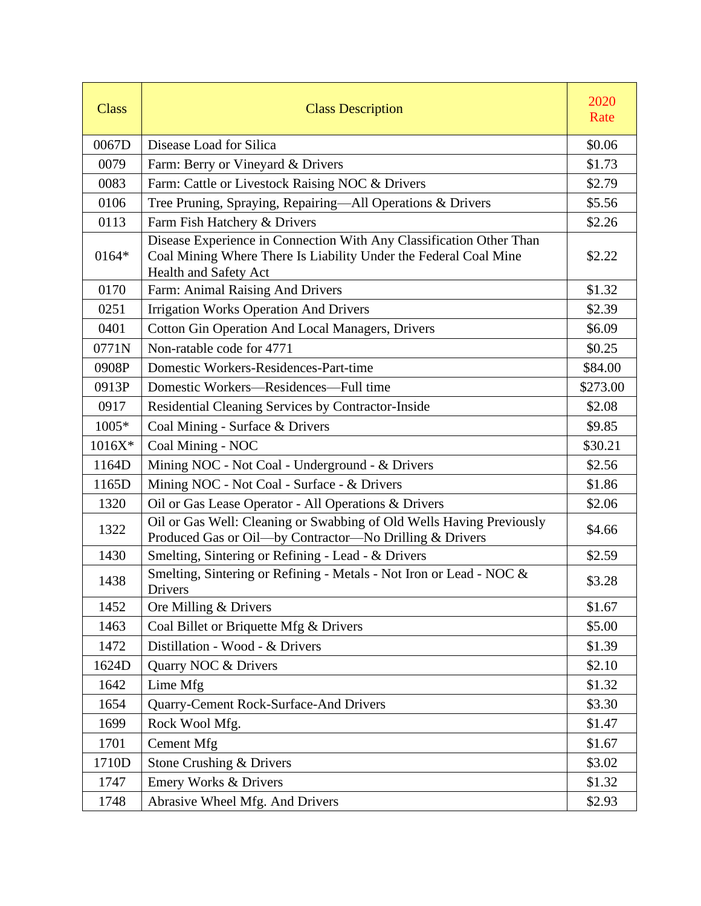| <b>Class</b> | <b>Class Description</b>                                                                                                                                         | 2020<br>Rate |
|--------------|------------------------------------------------------------------------------------------------------------------------------------------------------------------|--------------|
| 0067D        | Disease Load for Silica                                                                                                                                          | \$0.06       |
| 0079         | Farm: Berry or Vineyard & Drivers                                                                                                                                | \$1.73       |
| 0083         | Farm: Cattle or Livestock Raising NOC & Drivers                                                                                                                  | \$2.79       |
| 0106         | Tree Pruning, Spraying, Repairing-All Operations & Drivers                                                                                                       | \$5.56       |
| 0113         | Farm Fish Hatchery & Drivers                                                                                                                                     | \$2.26       |
| $0164*$      | Disease Experience in Connection With Any Classification Other Than<br>Coal Mining Where There Is Liability Under the Federal Coal Mine<br>Health and Safety Act | \$2.22       |
| 0170         | Farm: Animal Raising And Drivers                                                                                                                                 | \$1.32       |
| 0251         | <b>Irrigation Works Operation And Drivers</b>                                                                                                                    | \$2.39       |
| 0401         | <b>Cotton Gin Operation And Local Managers, Drivers</b>                                                                                                          | \$6.09       |
| 0771N        | Non-ratable code for 4771                                                                                                                                        | \$0.25       |
| 0908P        | Domestic Workers-Residences-Part-time                                                                                                                            | \$84.00      |
| 0913P        | Domestic Workers—Residences—Full time                                                                                                                            | \$273.00     |
| 0917         | Residential Cleaning Services by Contractor-Inside                                                                                                               | \$2.08       |
| $1005*$      | Coal Mining - Surface & Drivers                                                                                                                                  | \$9.85       |
| $1016X*$     | Coal Mining - NOC                                                                                                                                                | \$30.21      |
| 1164D        | Mining NOC - Not Coal - Underground - & Drivers                                                                                                                  | \$2.56       |
| 1165D        | Mining NOC - Not Coal - Surface - & Drivers                                                                                                                      | \$1.86       |
| 1320         | Oil or Gas Lease Operator - All Operations & Drivers                                                                                                             | \$2.06       |
| 1322         | Oil or Gas Well: Cleaning or Swabbing of Old Wells Having Previously<br>Produced Gas or Oil-by Contractor-No Drilling & Drivers                                  | \$4.66       |
| 1430         | Smelting, Sintering or Refining - Lead - & Drivers                                                                                                               | \$2.59       |
| 1438         | Smelting, Sintering or Refining - Metals - Not Iron or Lead - NOC &<br>Drivers                                                                                   | \$3.28       |
| 1452         | Ore Milling & Drivers                                                                                                                                            | \$1.67       |
| 1463         | Coal Billet or Briquette Mfg & Drivers                                                                                                                           | \$5.00       |
| 1472         | Distillation - Wood - & Drivers                                                                                                                                  | \$1.39       |
| 1624D        | Quarry NOC & Drivers                                                                                                                                             | \$2.10       |
| 1642         | Lime Mfg                                                                                                                                                         | \$1.32       |
| 1654         | Quarry-Cement Rock-Surface-And Drivers                                                                                                                           | \$3.30       |
| 1699         | Rock Wool Mfg.                                                                                                                                                   | \$1.47       |
| 1701         | <b>Cement Mfg</b>                                                                                                                                                | \$1.67       |
| 1710D        | Stone Crushing & Drivers                                                                                                                                         | \$3.02       |
| 1747         | Emery Works & Drivers                                                                                                                                            | \$1.32       |
| 1748         | Abrasive Wheel Mfg. And Drivers                                                                                                                                  | \$2.93       |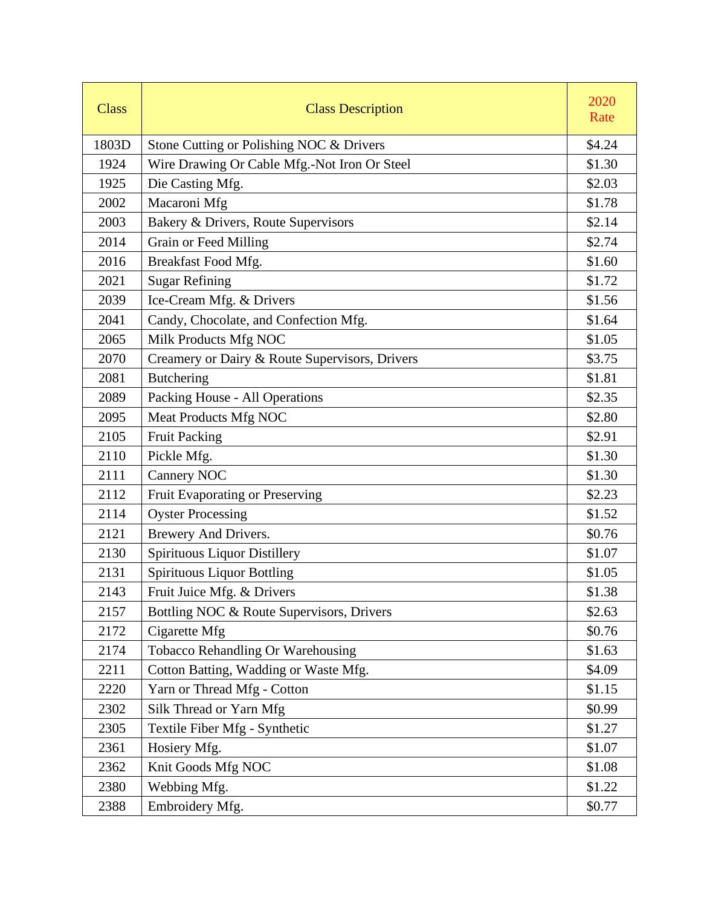| <b>Class</b> | <b>Class Description</b>                       | 2020<br>Rate |
|--------------|------------------------------------------------|--------------|
| 1803D        | Stone Cutting or Polishing NOC & Drivers       | \$4.24       |
| 1924         | Wire Drawing Or Cable Mfg.-Not Iron Or Steel   | \$1.30       |
| 1925         | Die Casting Mfg.                               | \$2.03       |
| 2002         | Macaroni Mfg                                   | \$1.78       |
| 2003         | Bakery & Drivers, Route Supervisors            | \$2.14       |
| 2014         | Grain or Feed Milling                          | \$2.74       |
| 2016         | Breakfast Food Mfg.                            | \$1.60       |
| 2021         | <b>Sugar Refining</b>                          | \$1.72       |
| 2039         | Ice-Cream Mfg. & Drivers                       | \$1.56       |
| 2041         | Candy, Chocolate, and Confection Mfg.          | \$1.64       |
| 2065         | Milk Products Mfg NOC                          | \$1.05       |
| 2070         | Creamery or Dairy & Route Supervisors, Drivers | \$3.75       |
| 2081         | <b>Butchering</b>                              | \$1.81       |
| 2089         | Packing House - All Operations                 | \$2.35       |
| 2095         | Meat Products Mfg NOC                          | \$2.80       |
| 2105         | <b>Fruit Packing</b>                           | \$2.91       |
| 2110         | Pickle Mfg.                                    | \$1.30       |
| 2111         | <b>Cannery NOC</b>                             | \$1.30       |
| 2112         | Fruit Evaporating or Preserving                | \$2.23       |
| 2114         | <b>Oyster Processing</b>                       | \$1.52       |
| 2121         | Brewery And Drivers.                           | \$0.76       |
| 2130         | Spirituous Liquor Distillery                   | \$1.07       |
| 2131         | <b>Spirituous Liquor Bottling</b>              | \$1.05       |
| 2143         | Fruit Juice Mfg. & Drivers                     | \$1.38       |
| 2157         | Bottling NOC & Route Supervisors, Drivers      | \$2.63       |
| 2172         | Cigarette Mfg                                  | \$0.76       |
| 2174         | Tobacco Rehandling Or Warehousing              | \$1.63       |
| 2211         | Cotton Batting, Wadding or Waste Mfg.          | \$4.09       |
| 2220         | Yarn or Thread Mfg - Cotton                    | \$1.15       |
| 2302         | Silk Thread or Yarn Mfg                        | \$0.99       |
| 2305         | Textile Fiber Mfg - Synthetic                  | \$1.27       |
| 2361         | Hosiery Mfg.                                   | \$1.07       |
| 2362         | Knit Goods Mfg NOC                             | \$1.08       |
| 2380         | Webbing Mfg.                                   | \$1.22       |
| 2388         | Embroidery Mfg.                                | \$0.77       |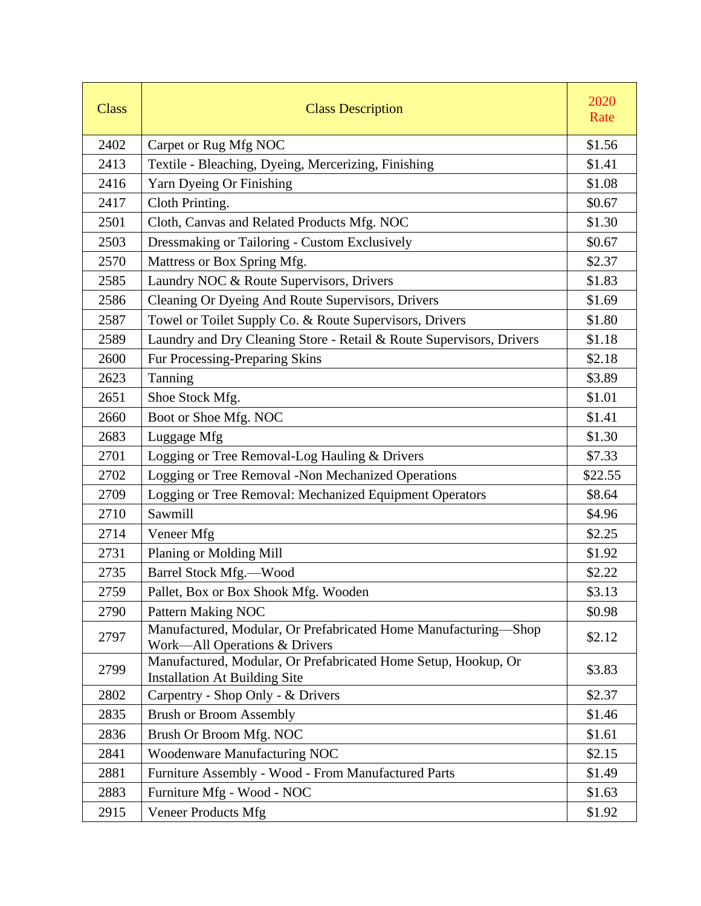| <b>Class</b> | <b>Class Description</b>                                                                               | 2020<br>Rate |
|--------------|--------------------------------------------------------------------------------------------------------|--------------|
| 2402         | Carpet or Rug Mfg NOC                                                                                  | \$1.56       |
| 2413         | Textile - Bleaching, Dyeing, Mercerizing, Finishing                                                    | \$1.41       |
| 2416         | Yarn Dyeing Or Finishing                                                                               | \$1.08       |
| 2417         | Cloth Printing.                                                                                        | \$0.67       |
| 2501         | Cloth, Canvas and Related Products Mfg. NOC                                                            | \$1.30       |
| 2503         | Dressmaking or Tailoring - Custom Exclusively                                                          | \$0.67       |
| 2570         | Mattress or Box Spring Mfg.                                                                            | \$2.37       |
| 2585         | Laundry NOC & Route Supervisors, Drivers                                                               | \$1.83       |
| 2586         | Cleaning Or Dyeing And Route Supervisors, Drivers                                                      | \$1.69       |
| 2587         | Towel or Toilet Supply Co. & Route Supervisors, Drivers                                                | \$1.80       |
| 2589         | Laundry and Dry Cleaning Store - Retail & Route Supervisors, Drivers                                   | \$1.18       |
| 2600         | Fur Processing-Preparing Skins                                                                         | \$2.18       |
| 2623         | Tanning                                                                                                | \$3.89       |
| 2651         | Shoe Stock Mfg.                                                                                        | \$1.01       |
| 2660         | Boot or Shoe Mfg. NOC                                                                                  | \$1.41       |
| 2683         | Luggage Mfg                                                                                            | \$1.30       |
| 2701         | Logging or Tree Removal-Log Hauling & Drivers                                                          | \$7.33       |
| 2702         | Logging or Tree Removal -Non Mechanized Operations                                                     | \$22.55      |
| 2709         | Logging or Tree Removal: Mechanized Equipment Operators                                                | \$8.64       |
| 2710         | Sawmill                                                                                                | \$4.96       |
| 2714         | Veneer Mfg                                                                                             | \$2.25       |
| 2731         | Planing or Molding Mill                                                                                | \$1.92       |
| 2735         | <b>Barrel Stock Mfg.-Wood</b>                                                                          | \$2.22       |
| 2759         | Pallet, Box or Box Shook Mfg. Wooden                                                                   | \$3.13       |
| 2790         | Pattern Making NOC                                                                                     | \$0.98       |
| 2797         | Manufactured, Modular, Or Prefabricated Home Manufacturing-Shop<br>Work—All Operations & Drivers       | \$2.12       |
| 2799         | Manufactured, Modular, Or Prefabricated Home Setup, Hookup, Or<br><b>Installation At Building Site</b> | \$3.83       |
| 2802         | Carpentry - Shop Only - & Drivers                                                                      | \$2.37       |
| 2835         | <b>Brush or Broom Assembly</b>                                                                         | \$1.46       |
| 2836         | Brush Or Broom Mfg. NOC                                                                                | \$1.61       |
| 2841         | <b>Woodenware Manufacturing NOC</b>                                                                    | \$2.15       |
| 2881         | Furniture Assembly - Wood - From Manufactured Parts                                                    | \$1.49       |
| 2883         | Furniture Mfg - Wood - NOC                                                                             | \$1.63       |
| 2915         | <b>Veneer Products Mfg</b>                                                                             | \$1.92       |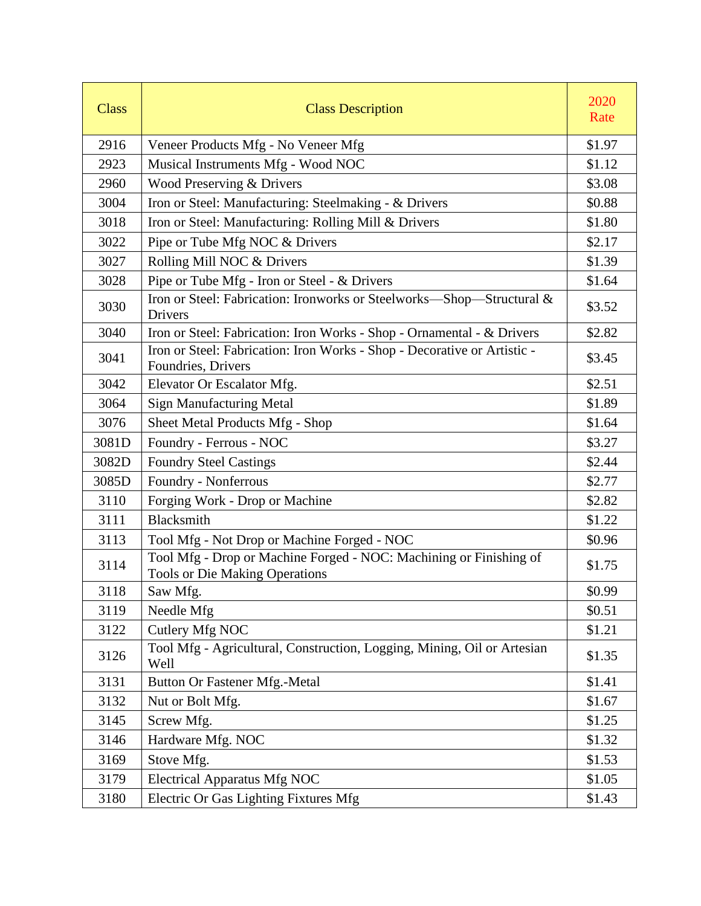| <b>Class</b> | <b>Class Description</b>                                                                                    | 2020<br>Rate |
|--------------|-------------------------------------------------------------------------------------------------------------|--------------|
| 2916         | Veneer Products Mfg - No Veneer Mfg                                                                         | \$1.97       |
| 2923         | Musical Instruments Mfg - Wood NOC                                                                          | \$1.12       |
| 2960         | Wood Preserving & Drivers                                                                                   | \$3.08       |
| 3004         | Iron or Steel: Manufacturing: Steelmaking - & Drivers                                                       | \$0.88       |
| 3018         | Iron or Steel: Manufacturing: Rolling Mill & Drivers                                                        | \$1.80       |
| 3022         | Pipe or Tube Mfg NOC & Drivers                                                                              | \$2.17       |
| 3027         | Rolling Mill NOC & Drivers                                                                                  | \$1.39       |
| 3028         | Pipe or Tube Mfg - Iron or Steel - & Drivers                                                                | \$1.64       |
| 3030         | Iron or Steel: Fabrication: Ironworks or Steelworks-Shop-Structural &<br>Drivers                            | \$3.52       |
| 3040         | Iron or Steel: Fabrication: Iron Works - Shop - Ornamental - & Drivers                                      | \$2.82       |
| 3041         | Iron or Steel: Fabrication: Iron Works - Shop - Decorative or Artistic -<br>Foundries, Drivers              | \$3.45       |
| 3042         | Elevator Or Escalator Mfg.                                                                                  | \$2.51       |
| 3064         | <b>Sign Manufacturing Metal</b>                                                                             | \$1.89       |
| 3076         | Sheet Metal Products Mfg - Shop                                                                             | \$1.64       |
| 3081D        | Foundry - Ferrous - NOC                                                                                     | \$3.27       |
| 3082D        | <b>Foundry Steel Castings</b>                                                                               | \$2.44       |
| 3085D        | Foundry - Nonferrous                                                                                        | \$2.77       |
| 3110         | Forging Work - Drop or Machine                                                                              | \$2.82       |
| 3111         | Blacksmith                                                                                                  | \$1.22       |
| 3113         | Tool Mfg - Not Drop or Machine Forged - NOC                                                                 | \$0.96       |
| 3114         | Tool Mfg - Drop or Machine Forged - NOC: Machining or Finishing of<br><b>Tools or Die Making Operations</b> | \$1.75       |
| 3118         | Saw Mfg.                                                                                                    | \$0.99       |
| 3119         | Needle Mfg                                                                                                  | \$0.51       |
| 3122         | Cutlery Mfg NOC                                                                                             | \$1.21       |
| 3126         | Tool Mfg - Agricultural, Construction, Logging, Mining, Oil or Artesian<br>Well                             | \$1.35       |
| 3131         | Button Or Fastener Mfg.-Metal                                                                               | \$1.41       |
| 3132         | Nut or Bolt Mfg.                                                                                            | \$1.67       |
| 3145         | Screw Mfg.                                                                                                  | \$1.25       |
| 3146         | Hardware Mfg. NOC                                                                                           | \$1.32       |
| 3169         | Stove Mfg.                                                                                                  | \$1.53       |
| 3179         | <b>Electrical Apparatus Mfg NOC</b>                                                                         | \$1.05       |
| 3180         | Electric Or Gas Lighting Fixtures Mfg                                                                       | \$1.43       |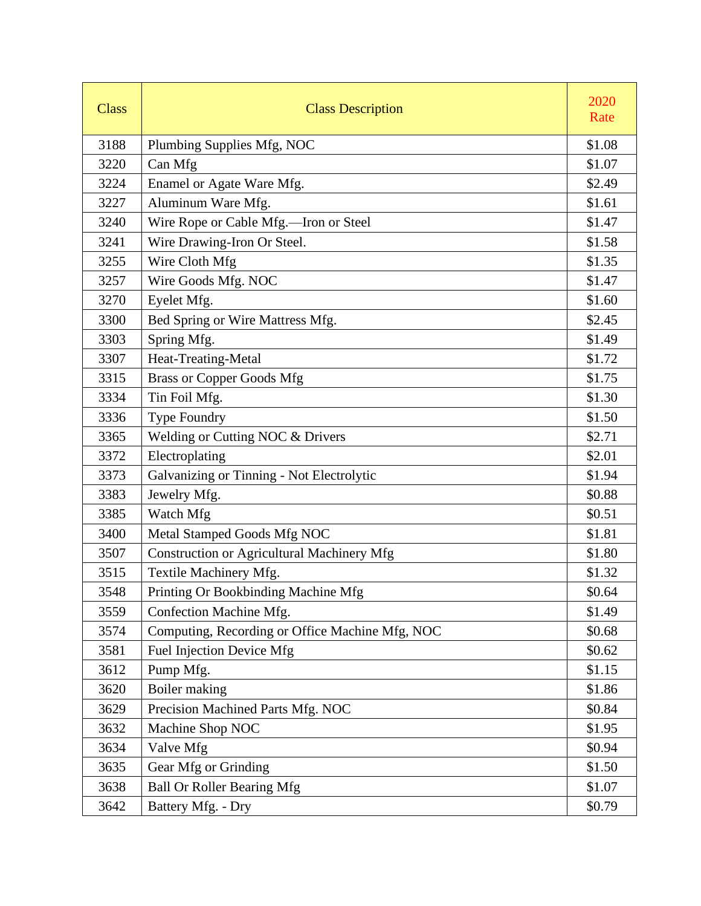| <b>Class</b> | <b>Class Description</b>                        | 2020<br>Rate |
|--------------|-------------------------------------------------|--------------|
| 3188         | Plumbing Supplies Mfg, NOC                      | \$1.08       |
| 3220         | Can Mfg                                         | \$1.07       |
| 3224         | Enamel or Agate Ware Mfg.                       | \$2.49       |
| 3227         | Aluminum Ware Mfg.                              | \$1.61       |
| 3240         | Wire Rope or Cable Mfg.-Iron or Steel           | \$1.47       |
| 3241         | Wire Drawing-Iron Or Steel.                     | \$1.58       |
| 3255         | Wire Cloth Mfg                                  | \$1.35       |
| 3257         | Wire Goods Mfg. NOC                             | \$1.47       |
| 3270         | Eyelet Mfg.                                     | \$1.60       |
| 3300         | Bed Spring or Wire Mattress Mfg.                | \$2.45       |
| 3303         | Spring Mfg.                                     | \$1.49       |
| 3307         | Heat-Treating-Metal                             | \$1.72       |
| 3315         | <b>Brass or Copper Goods Mfg</b>                | \$1.75       |
| 3334         | Tin Foil Mfg.                                   | \$1.30       |
| 3336         | <b>Type Foundry</b>                             | \$1.50       |
| 3365         | Welding or Cutting NOC & Drivers                | \$2.71       |
| 3372         | Electroplating                                  | \$2.01       |
| 3373         | Galvanizing or Tinning - Not Electrolytic       | \$1.94       |
| 3383         | Jewelry Mfg.                                    | \$0.88       |
| 3385         | Watch Mfg                                       | \$0.51       |
| 3400         | Metal Stamped Goods Mfg NOC                     | \$1.81       |
| 3507         | Construction or Agricultural Machinery Mfg      | \$1.80       |
| 3515         | Textile Machinery Mfg.                          | \$1.32       |
| 3548         | Printing Or Bookbinding Machine Mfg             | \$0.64       |
| 3559         | Confection Machine Mfg.                         | \$1.49       |
| 3574         | Computing, Recording or Office Machine Mfg, NOC | \$0.68       |
| 3581         | Fuel Injection Device Mfg                       | \$0.62       |
| 3612         | Pump Mfg.                                       | \$1.15       |
| 3620         | Boiler making                                   | \$1.86       |
| 3629         | Precision Machined Parts Mfg. NOC               | \$0.84       |
| 3632         | Machine Shop NOC                                | \$1.95       |
| 3634         | Valve Mfg                                       | \$0.94       |
| 3635         | Gear Mfg or Grinding                            | \$1.50       |
| 3638         | <b>Ball Or Roller Bearing Mfg</b>               | \$1.07       |
| 3642         | Battery Mfg. - Dry                              | \$0.79       |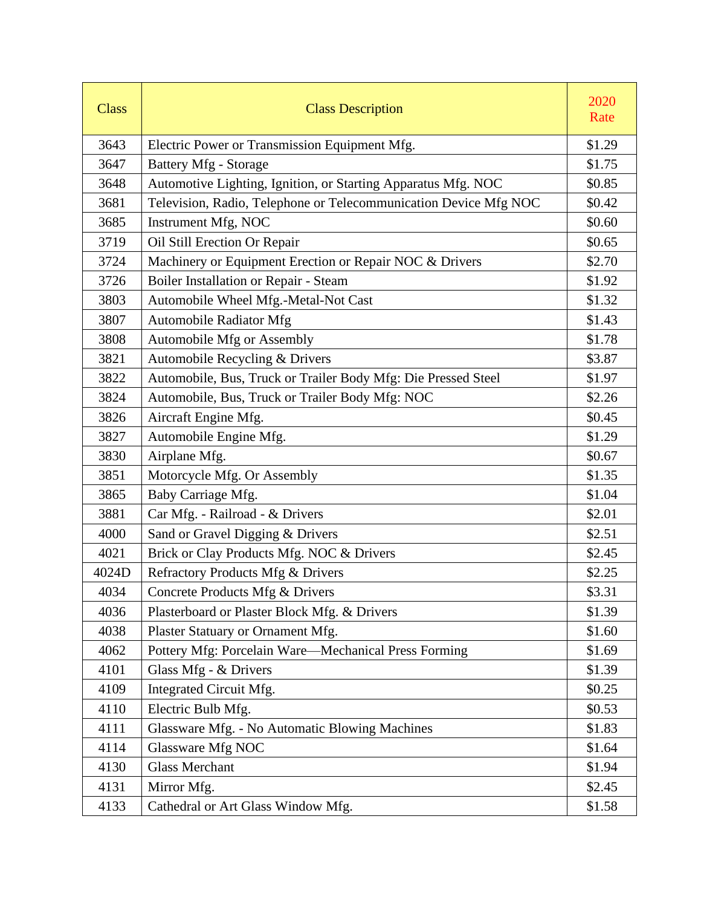| <b>Class</b> | <b>Class Description</b>                                         | 2020<br>Rate |
|--------------|------------------------------------------------------------------|--------------|
| 3643         | Electric Power or Transmission Equipment Mfg.                    | \$1.29       |
| 3647         | <b>Battery Mfg - Storage</b>                                     | \$1.75       |
| 3648         | Automotive Lighting, Ignition, or Starting Apparatus Mfg. NOC    | \$0.85       |
| 3681         | Television, Radio, Telephone or Telecommunication Device Mfg NOC | \$0.42       |
| 3685         | Instrument Mfg, NOC                                              | \$0.60       |
| 3719         | Oil Still Erection Or Repair                                     | \$0.65       |
| 3724         | Machinery or Equipment Erection or Repair NOC & Drivers          | \$2.70       |
| 3726         | Boiler Installation or Repair - Steam                            | \$1.92       |
| 3803         | Automobile Wheel Mfg.-Metal-Not Cast                             | \$1.32       |
| 3807         | Automobile Radiator Mfg                                          | \$1.43       |
| 3808         | Automobile Mfg or Assembly                                       | \$1.78       |
| 3821         | Automobile Recycling & Drivers                                   | \$3.87       |
| 3822         | Automobile, Bus, Truck or Trailer Body Mfg: Die Pressed Steel    | \$1.97       |
| 3824         | Automobile, Bus, Truck or Trailer Body Mfg: NOC                  | \$2.26       |
| 3826         | Aircraft Engine Mfg.                                             | \$0.45       |
| 3827         | Automobile Engine Mfg.                                           | \$1.29       |
| 3830         | Airplane Mfg.                                                    | \$0.67       |
| 3851         | Motorcycle Mfg. Or Assembly                                      | \$1.35       |
| 3865         | Baby Carriage Mfg.                                               | \$1.04       |
| 3881         | Car Mfg. - Railroad - & Drivers                                  | \$2.01       |
| 4000         | Sand or Gravel Digging & Drivers                                 | \$2.51       |
| 4021         | Brick or Clay Products Mfg. NOC & Drivers                        | \$2.45       |
| 4024D        | Refractory Products Mfg & Drivers                                | \$2.25       |
| 4034         | Concrete Products Mfg & Drivers                                  | \$3.31       |
| 4036         | Plasterboard or Plaster Block Mfg. & Drivers                     | \$1.39       |
| 4038         | Plaster Statuary or Ornament Mfg.                                | \$1.60       |
| 4062         | Pottery Mfg: Porcelain Ware-Mechanical Press Forming             | \$1.69       |
| 4101         | Glass Mfg - & Drivers                                            | \$1.39       |
| 4109         | Integrated Circuit Mfg.                                          | \$0.25       |
| 4110         | Electric Bulb Mfg.                                               | \$0.53       |
| 4111         | Glassware Mfg. - No Automatic Blowing Machines                   | \$1.83       |
| 4114         | Glassware Mfg NOC                                                | \$1.64       |
| 4130         | <b>Glass Merchant</b>                                            | \$1.94       |
| 4131         | Mirror Mfg.                                                      | \$2.45       |
| 4133         | Cathedral or Art Glass Window Mfg.                               | \$1.58       |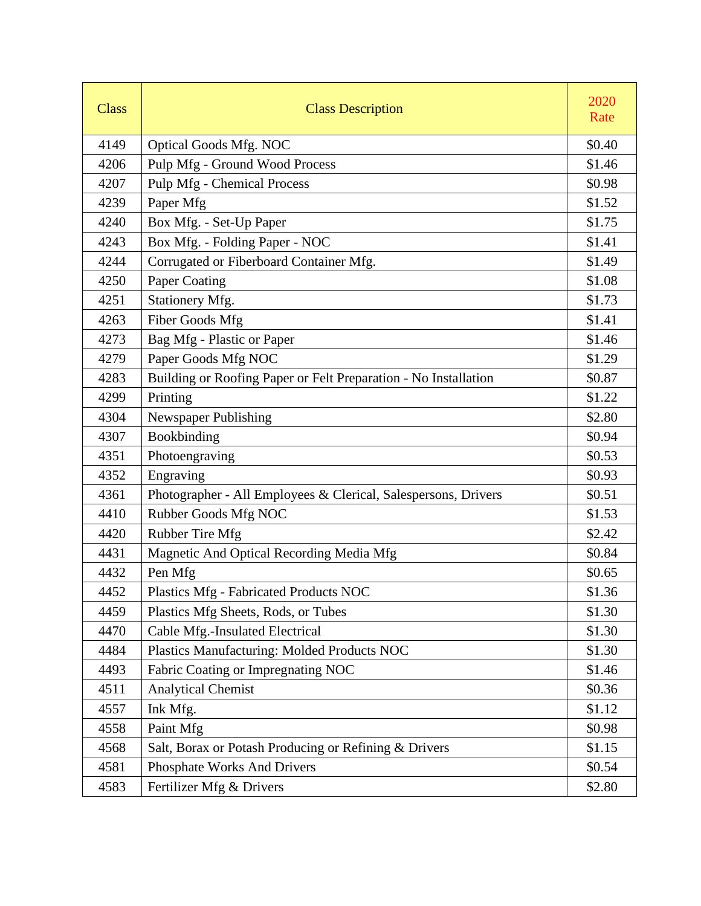| <b>Class</b> | <b>Class Description</b>                                        | 2020<br>Rate |
|--------------|-----------------------------------------------------------------|--------------|
| 4149         | <b>Optical Goods Mfg. NOC</b>                                   | \$0.40       |
| 4206         | Pulp Mfg - Ground Wood Process                                  | \$1.46       |
| 4207         | <b>Pulp Mfg - Chemical Process</b>                              | \$0.98       |
| 4239         | Paper Mfg                                                       | \$1.52       |
| 4240         | Box Mfg. - Set-Up Paper                                         | \$1.75       |
| 4243         | Box Mfg. - Folding Paper - NOC                                  | \$1.41       |
| 4244         | Corrugated or Fiberboard Container Mfg.                         | \$1.49       |
| 4250         | Paper Coating                                                   | \$1.08       |
| 4251         | Stationery Mfg.                                                 | \$1.73       |
| 4263         | <b>Fiber Goods Mfg</b>                                          | \$1.41       |
| 4273         | Bag Mfg - Plastic or Paper                                      | \$1.46       |
| 4279         | Paper Goods Mfg NOC                                             | \$1.29       |
| 4283         | Building or Roofing Paper or Felt Preparation - No Installation | \$0.87       |
| 4299         | Printing                                                        | \$1.22       |
| 4304         | Newspaper Publishing                                            | \$2.80       |
| 4307         | Bookbinding                                                     | \$0.94       |
| 4351         | Photoengraving                                                  | \$0.53       |
| 4352         | Engraving                                                       | \$0.93       |
| 4361         | Photographer - All Employees & Clerical, Salespersons, Drivers  | \$0.51       |
| 4410         | Rubber Goods Mfg NOC                                            | \$1.53       |
| 4420         | Rubber Tire Mfg                                                 | \$2.42       |
| 4431         | Magnetic And Optical Recording Media Mfg                        | \$0.84       |
| 4432         | Pen Mfg                                                         | \$0.65       |
| 4452         | Plastics Mfg - Fabricated Products NOC                          | \$1.36       |
| 4459         | Plastics Mfg Sheets, Rods, or Tubes                             | \$1.30       |
| 4470         | Cable Mfg.-Insulated Electrical                                 | \$1.30       |
| 4484         | Plastics Manufacturing: Molded Products NOC                     | \$1.30       |
| 4493         | Fabric Coating or Impregnating NOC                              | \$1.46       |
| 4511         | <b>Analytical Chemist</b>                                       | \$0.36       |
| 4557         | Ink Mfg.                                                        | \$1.12       |
| 4558         | Paint Mfg                                                       | \$0.98       |
| 4568         | Salt, Borax or Potash Producing or Refining & Drivers           | \$1.15       |
| 4581         | Phosphate Works And Drivers                                     | \$0.54       |
| 4583         | Fertilizer Mfg & Drivers                                        | \$2.80       |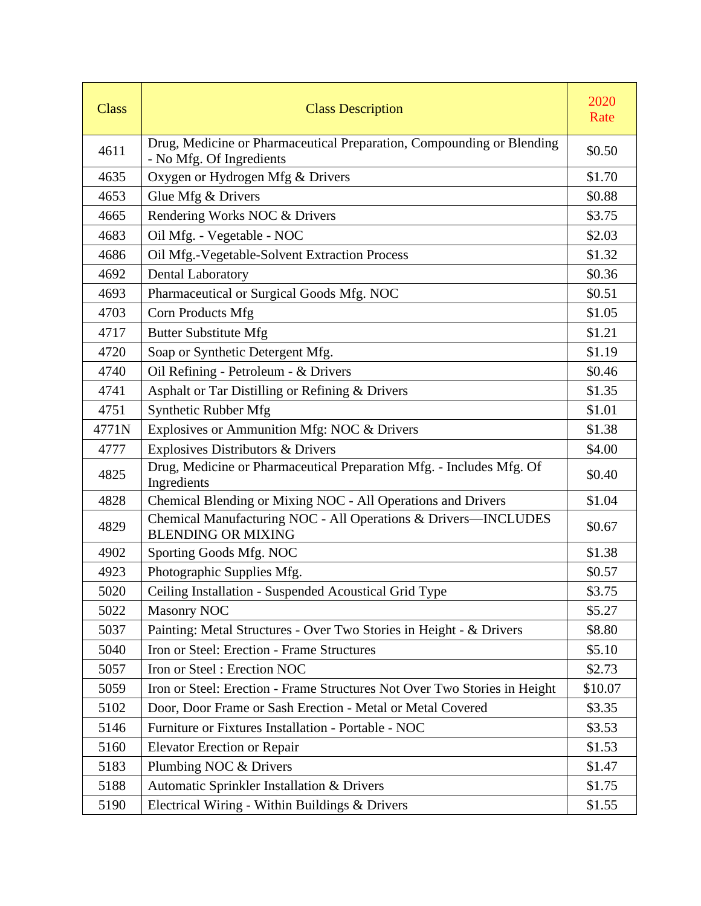| <b>Class</b> | <b>Class Description</b>                                                                          | 2020<br>Rate |
|--------------|---------------------------------------------------------------------------------------------------|--------------|
| 4611         | Drug, Medicine or Pharmaceutical Preparation, Compounding or Blending<br>- No Mfg. Of Ingredients | \$0.50       |
| 4635         | Oxygen or Hydrogen Mfg & Drivers                                                                  | \$1.70       |
| 4653         | Glue Mfg & Drivers                                                                                | \$0.88       |
| 4665         | Rendering Works NOC & Drivers                                                                     | \$3.75       |
| 4683         | Oil Mfg. - Vegetable - NOC                                                                        | \$2.03       |
| 4686         | Oil Mfg.-Vegetable-Solvent Extraction Process                                                     | \$1.32       |
| 4692         | <b>Dental Laboratory</b>                                                                          | \$0.36       |
| 4693         | Pharmaceutical or Surgical Goods Mfg. NOC                                                         | \$0.51       |
| 4703         | Corn Products Mfg                                                                                 | \$1.05       |
| 4717         | <b>Butter Substitute Mfg</b>                                                                      | \$1.21       |
| 4720         | Soap or Synthetic Detergent Mfg.                                                                  | \$1.19       |
| 4740         | Oil Refining - Petroleum - & Drivers                                                              | \$0.46       |
| 4741         | Asphalt or Tar Distilling or Refining & Drivers                                                   | \$1.35       |
| 4751         | Synthetic Rubber Mfg                                                                              | \$1.01       |
| 4771N        | Explosives or Ammunition Mfg: NOC & Drivers                                                       | \$1.38       |
| 4777         | Explosives Distributors & Drivers                                                                 | \$4.00       |
| 4825         | Drug, Medicine or Pharmaceutical Preparation Mfg. - Includes Mfg. Of<br>Ingredients               | \$0.40       |
| 4828         | Chemical Blending or Mixing NOC - All Operations and Drivers                                      | \$1.04       |
| 4829         | Chemical Manufacturing NOC - All Operations & Drivers-INCLUDES<br><b>BLENDING OR MIXING</b>       | \$0.67       |
| 4902         | Sporting Goods Mfg. NOC                                                                           | \$1.38       |
| 4923         | Photographic Supplies Mfg.                                                                        | \$0.57       |
| 5020         | Ceiling Installation - Suspended Acoustical Grid Type                                             | \$3.75       |
| 5022         | <b>Masonry NOC</b>                                                                                | \$5.27       |
| 5037         | Painting: Metal Structures - Over Two Stories in Height - & Drivers                               | \$8.80       |
| 5040         | Iron or Steel: Erection - Frame Structures                                                        | \$5.10       |
| 5057         | Iron or Steel: Erection NOC                                                                       | \$2.73       |
| 5059         | Iron or Steel: Erection - Frame Structures Not Over Two Stories in Height                         | \$10.07      |
| 5102         | Door, Door Frame or Sash Erection - Metal or Metal Covered                                        | \$3.35       |
| 5146         | Furniture or Fixtures Installation - Portable - NOC                                               | \$3.53       |
| 5160         | <b>Elevator Erection or Repair</b>                                                                | \$1.53       |
| 5183         | Plumbing NOC & Drivers                                                                            | \$1.47       |
| 5188         | Automatic Sprinkler Installation & Drivers                                                        | \$1.75       |
| 5190         | Electrical Wiring - Within Buildings & Drivers                                                    | \$1.55       |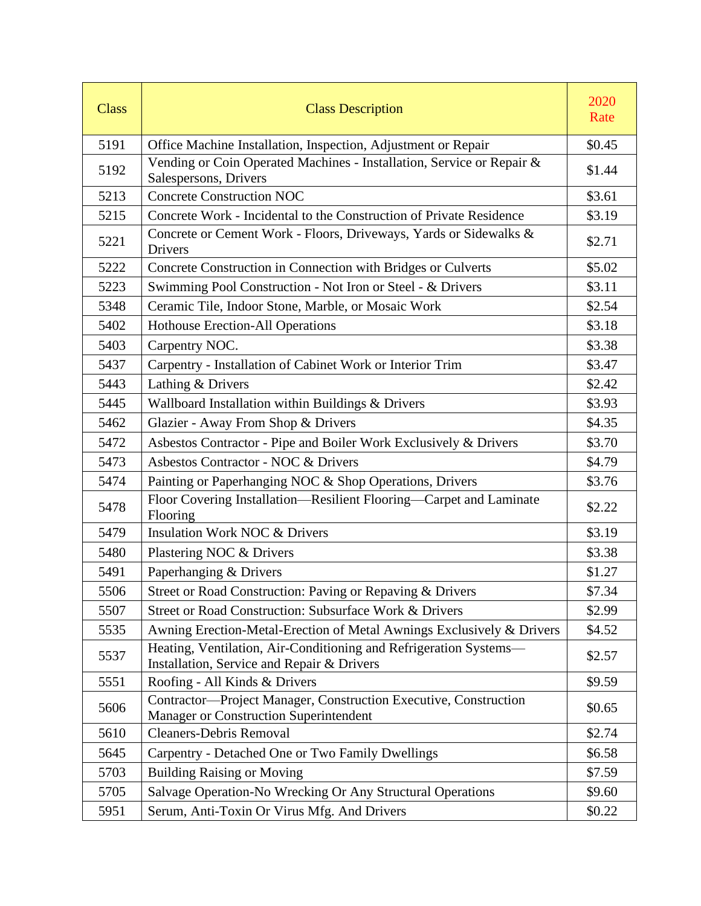| <b>Class</b> | <b>Class Description</b>                                                                                        | 2020<br>Rate |
|--------------|-----------------------------------------------------------------------------------------------------------------|--------------|
| 5191         | Office Machine Installation, Inspection, Adjustment or Repair                                                   | \$0.45       |
| 5192         | Vending or Coin Operated Machines - Installation, Service or Repair &<br>Salespersons, Drivers                  | \$1.44       |
| 5213         | <b>Concrete Construction NOC</b>                                                                                | \$3.61       |
| 5215         | Concrete Work - Incidental to the Construction of Private Residence                                             | \$3.19       |
| 5221         | Concrete or Cement Work - Floors, Driveways, Yards or Sidewalks &<br><b>Drivers</b>                             | \$2.71       |
| 5222         | Concrete Construction in Connection with Bridges or Culverts                                                    | \$5.02       |
| 5223         | Swimming Pool Construction - Not Iron or Steel - & Drivers                                                      | \$3.11       |
| 5348         | Ceramic Tile, Indoor Stone, Marble, or Mosaic Work                                                              | \$2.54       |
| 5402         | <b>Hothouse Erection-All Operations</b>                                                                         | \$3.18       |
| 5403         | Carpentry NOC.                                                                                                  | \$3.38       |
| 5437         | Carpentry - Installation of Cabinet Work or Interior Trim                                                       | \$3.47       |
| 5443         | Lathing & Drivers                                                                                               | \$2.42       |
| 5445         | Wallboard Installation within Buildings & Drivers                                                               | \$3.93       |
| 5462         | Glazier - Away From Shop & Drivers                                                                              | \$4.35       |
| 5472         | Asbestos Contractor - Pipe and Boiler Work Exclusively & Drivers                                                | \$3.70       |
| 5473         | Asbestos Contractor - NOC & Drivers                                                                             | \$4.79       |
| 5474         | Painting or Paperhanging NOC & Shop Operations, Drivers                                                         | \$3.76       |
| 5478         | Floor Covering Installation-Resilient Flooring-Carpet and Laminate<br>Flooring                                  | \$2.22       |
| 5479         | <b>Insulation Work NOC &amp; Drivers</b>                                                                        | \$3.19       |
| 5480         | Plastering NOC & Drivers                                                                                        | \$3.38       |
| 5491         | Paperhanging & Drivers                                                                                          | \$1.27       |
| 5506         | Street or Road Construction: Paving or Repaving & Drivers                                                       | \$7.34       |
| 5507         | Street or Road Construction: Subsurface Work & Drivers                                                          | \$2.99       |
| 5535         | Awning Erection-Metal-Erection of Metal Awnings Exclusively & Drivers                                           | \$4.52       |
| 5537         | Heating, Ventilation, Air-Conditioning and Refrigeration Systems-<br>Installation, Service and Repair & Drivers | \$2.57       |
| 5551         | Roofing - All Kinds & Drivers                                                                                   | \$9.59       |
| 5606         | Contractor-Project Manager, Construction Executive, Construction<br>Manager or Construction Superintendent      | \$0.65       |
| 5610         | <b>Cleaners-Debris Removal</b>                                                                                  | \$2.74       |
| 5645         | Carpentry - Detached One or Two Family Dwellings                                                                | \$6.58       |
| 5703         | <b>Building Raising or Moving</b>                                                                               | \$7.59       |
| 5705         | Salvage Operation-No Wrecking Or Any Structural Operations                                                      | \$9.60       |
| 5951         | Serum, Anti-Toxin Or Virus Mfg. And Drivers                                                                     | \$0.22       |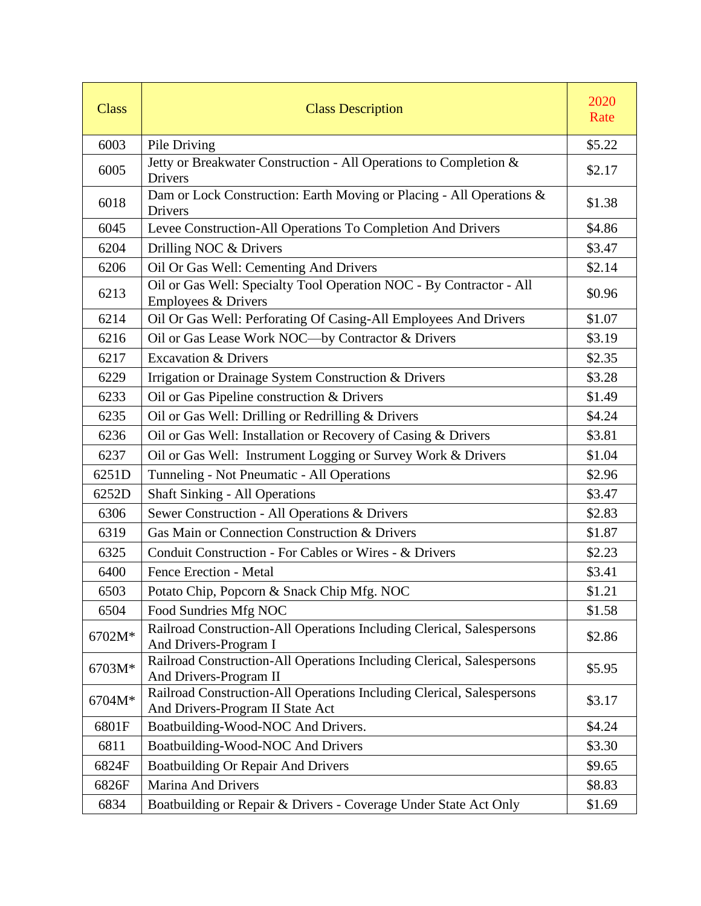| <b>Class</b> | <b>Class Description</b>                                                                                  | 2020<br>Rate |
|--------------|-----------------------------------------------------------------------------------------------------------|--------------|
| 6003         | Pile Driving                                                                                              | \$5.22       |
| 6005         | Jetty or Breakwater Construction - All Operations to Completion &<br>Drivers                              | \$2.17       |
| 6018         | Dam or Lock Construction: Earth Moving or Placing - All Operations &<br>Drivers                           | \$1.38       |
| 6045         | Levee Construction-All Operations To Completion And Drivers                                               | \$4.86       |
| 6204         | Drilling NOC & Drivers                                                                                    | \$3.47       |
| 6206         | Oil Or Gas Well: Cementing And Drivers                                                                    | \$2.14       |
| 6213         | Oil or Gas Well: Specialty Tool Operation NOC - By Contractor - All<br>Employees & Drivers                | \$0.96       |
| 6214         | Oil Or Gas Well: Perforating Of Casing-All Employees And Drivers                                          | \$1.07       |
| 6216         | Oil or Gas Lease Work NOC-by Contractor & Drivers                                                         | \$3.19       |
| 6217         | <b>Excavation &amp; Drivers</b>                                                                           | \$2.35       |
| 6229         | Irrigation or Drainage System Construction & Drivers                                                      | \$3.28       |
| 6233         | Oil or Gas Pipeline construction & Drivers                                                                | \$1.49       |
| 6235         | Oil or Gas Well: Drilling or Redrilling & Drivers                                                         | \$4.24       |
| 6236         | Oil or Gas Well: Installation or Recovery of Casing & Drivers                                             | \$3.81       |
| 6237         | Oil or Gas Well: Instrument Logging or Survey Work & Drivers                                              | \$1.04       |
| 6251D        | Tunneling - Not Pneumatic - All Operations                                                                | \$2.96       |
| 6252D        | <b>Shaft Sinking - All Operations</b>                                                                     | \$3.47       |
| 6306         | Sewer Construction - All Operations & Drivers                                                             | \$2.83       |
| 6319         | Gas Main or Connection Construction & Drivers                                                             | \$1.87       |
| 6325         | Conduit Construction - For Cables or Wires - & Drivers                                                    | \$2.23       |
| 6400         | Fence Erection - Metal                                                                                    | \$3.41       |
| 6503         | Potato Chip, Popcorn & Snack Chip Mfg. NOC                                                                | \$1.21       |
| 6504         | Food Sundries Mfg NOC                                                                                     | \$1.58       |
| 6702M*       | Railroad Construction-All Operations Including Clerical, Salespersons<br>And Drivers-Program I            | \$2.86       |
| 6703M*       | Railroad Construction-All Operations Including Clerical, Salespersons<br>And Drivers-Program II           | \$5.95       |
| 6704M*       | Railroad Construction-All Operations Including Clerical, Salespersons<br>And Drivers-Program II State Act | \$3.17       |
| 6801F        | Boatbuilding-Wood-NOC And Drivers.                                                                        | \$4.24       |
| 6811         | Boatbuilding-Wood-NOC And Drivers                                                                         | \$3.30       |
| 6824F        | <b>Boatbuilding Or Repair And Drivers</b>                                                                 | \$9.65       |
| 6826F        | <b>Marina And Drivers</b>                                                                                 | \$8.83       |
| 6834         | Boatbuilding or Repair & Drivers - Coverage Under State Act Only                                          | \$1.69       |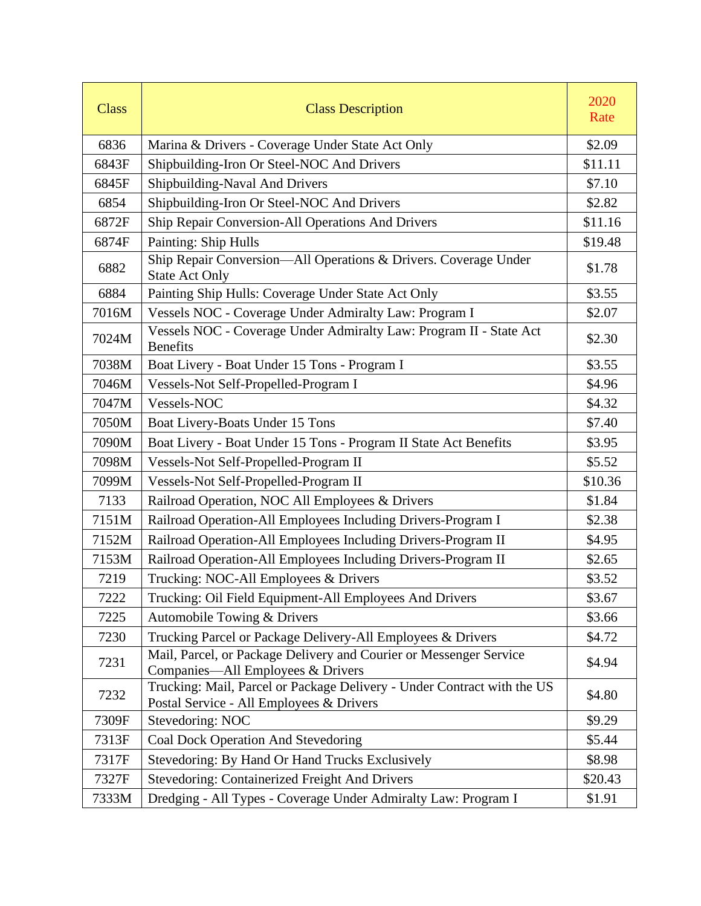| <b>Class</b> | <b>Class Description</b>                                                                                            | 2020<br>Rate |
|--------------|---------------------------------------------------------------------------------------------------------------------|--------------|
| 6836         | Marina & Drivers - Coverage Under State Act Only                                                                    | \$2.09       |
| 6843F        | Shipbuilding-Iron Or Steel-NOC And Drivers                                                                          | \$11.11      |
| 6845F        | Shipbuilding-Naval And Drivers                                                                                      | \$7.10       |
| 6854         | Shipbuilding-Iron Or Steel-NOC And Drivers                                                                          | \$2.82       |
| 6872F        | Ship Repair Conversion-All Operations And Drivers                                                                   | \$11.16      |
| 6874F        | Painting: Ship Hulls                                                                                                | \$19.48      |
| 6882         | Ship Repair Conversion-All Operations & Drivers. Coverage Under<br><b>State Act Only</b>                            | \$1.78       |
| 6884         | Painting Ship Hulls: Coverage Under State Act Only                                                                  | \$3.55       |
| 7016M        | Vessels NOC - Coverage Under Admiralty Law: Program I                                                               | \$2.07       |
| 7024M        | Vessels NOC - Coverage Under Admiralty Law: Program II - State Act<br><b>Benefits</b>                               | \$2.30       |
| 7038M        | Boat Livery - Boat Under 15 Tons - Program I                                                                        | \$3.55       |
| 7046M        | Vessels-Not Self-Propelled-Program I                                                                                | \$4.96       |
| 7047M        | Vessels-NOC                                                                                                         | \$4.32       |
| 7050M        | Boat Livery-Boats Under 15 Tons                                                                                     | \$7.40       |
| 7090M        | Boat Livery - Boat Under 15 Tons - Program II State Act Benefits                                                    | \$3.95       |
| 7098M        | Vessels-Not Self-Propelled-Program II                                                                               | \$5.52       |
| 7099M        | Vessels-Not Self-Propelled-Program II                                                                               | \$10.36      |
| 7133         | Railroad Operation, NOC All Employees & Drivers                                                                     | \$1.84       |
| 7151M        | Railroad Operation-All Employees Including Drivers-Program I                                                        | \$2.38       |
| 7152M        | Railroad Operation-All Employees Including Drivers-Program II                                                       | \$4.95       |
| 7153M        | Railroad Operation-All Employees Including Drivers-Program II                                                       | \$2.65       |
| 7219         | Trucking: NOC-All Employees & Drivers                                                                               | \$3.52       |
| 7222         | Trucking: Oil Field Equipment-All Employees And Drivers                                                             | \$3.67       |
| 7225         | Automobile Towing & Drivers                                                                                         | \$3.66       |
| 7230         | Trucking Parcel or Package Delivery-All Employees & Drivers                                                         | \$4.72       |
| 7231         | Mail, Parcel, or Package Delivery and Courier or Messenger Service<br>Companies—All Employees & Drivers             | \$4.94       |
| 7232         | Trucking: Mail, Parcel or Package Delivery - Under Contract with the US<br>Postal Service - All Employees & Drivers | \$4.80       |
| 7309F        | Stevedoring: NOC                                                                                                    | \$9.29       |
| 7313F        | Coal Dock Operation And Stevedoring                                                                                 | \$5.44       |
| 7317F        | Stevedoring: By Hand Or Hand Trucks Exclusively                                                                     | \$8.98       |
| 7327F        | Stevedoring: Containerized Freight And Drivers                                                                      | \$20.43      |
| 7333M        | Dredging - All Types - Coverage Under Admiralty Law: Program I                                                      | \$1.91       |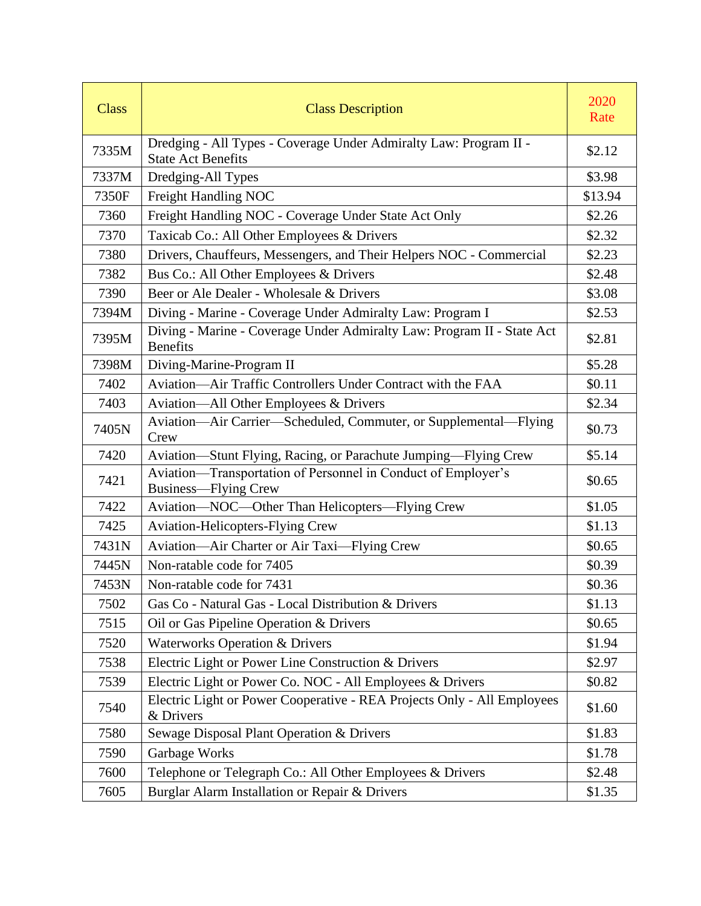| <b>Class</b> | <b>Class Description</b>                                                                       | 2020<br>Rate |
|--------------|------------------------------------------------------------------------------------------------|--------------|
| 7335M        | Dredging - All Types - Coverage Under Admiralty Law: Program II -<br><b>State Act Benefits</b> | \$2.12       |
| 7337M        | Dredging-All Types                                                                             | \$3.98       |
| 7350F        | Freight Handling NOC                                                                           | \$13.94      |
| 7360         | Freight Handling NOC - Coverage Under State Act Only                                           | \$2.26       |
| 7370         | Taxicab Co.: All Other Employees & Drivers                                                     | \$2.32       |
| 7380         | Drivers, Chauffeurs, Messengers, and Their Helpers NOC - Commercial                            | \$2.23       |
| 7382         | Bus Co.: All Other Employees & Drivers                                                         | \$2.48       |
| 7390         | Beer or Ale Dealer - Wholesale & Drivers                                                       | \$3.08       |
| 7394M        | Diving - Marine - Coverage Under Admiralty Law: Program I                                      | \$2.53       |
| 7395M        | Diving - Marine - Coverage Under Admiralty Law: Program II - State Act<br><b>Benefits</b>      | \$2.81       |
| 7398M        | Diving-Marine-Program II                                                                       | \$5.28       |
| 7402         | Aviation—Air Traffic Controllers Under Contract with the FAA                                   | \$0.11       |
| 7403         | Aviation—All Other Employees & Drivers                                                         | \$2.34       |
| 7405N        | Aviation—Air Carrier—Scheduled, Commuter, or Supplemental—Flying<br>Crew                       | \$0.73       |
| 7420         | Aviation-Stunt Flying, Racing, or Parachute Jumping-Flying Crew                                | \$5.14       |
| 7421         | Aviation-Transportation of Personnel in Conduct of Employer's<br><b>Business—Flying Crew</b>   | \$0.65       |
| 7422         | Aviation-NOC-Other Than Helicopters-Flying Crew                                                | \$1.05       |
| 7425         | <b>Aviation-Helicopters-Flying Crew</b>                                                        | \$1.13       |
| 7431N        | Aviation-Air Charter or Air Taxi-Flying Crew                                                   | \$0.65       |
| 7445N        | Non-ratable code for 7405                                                                      | \$0.39       |
| 7453N        | Non-ratable code for 7431                                                                      | \$0.36       |
| 7502         | Gas Co - Natural Gas - Local Distribution & Drivers                                            | \$1.13       |
| 7515         | Oil or Gas Pipeline Operation & Drivers                                                        | \$0.65       |
| 7520         | <b>Waterworks Operation &amp; Drivers</b>                                                      | \$1.94       |
| 7538         | Electric Light or Power Line Construction & Drivers                                            | \$2.97       |
| 7539         | Electric Light or Power Co. NOC - All Employees & Drivers                                      | \$0.82       |
| 7540         | Electric Light or Power Cooperative - REA Projects Only - All Employees<br>& Drivers           | \$1.60       |
| 7580         | Sewage Disposal Plant Operation & Drivers                                                      | \$1.83       |
| 7590         | Garbage Works                                                                                  | \$1.78       |
| 7600         | Telephone or Telegraph Co.: All Other Employees & Drivers                                      | \$2.48       |
| 7605         | Burglar Alarm Installation or Repair & Drivers                                                 | \$1.35       |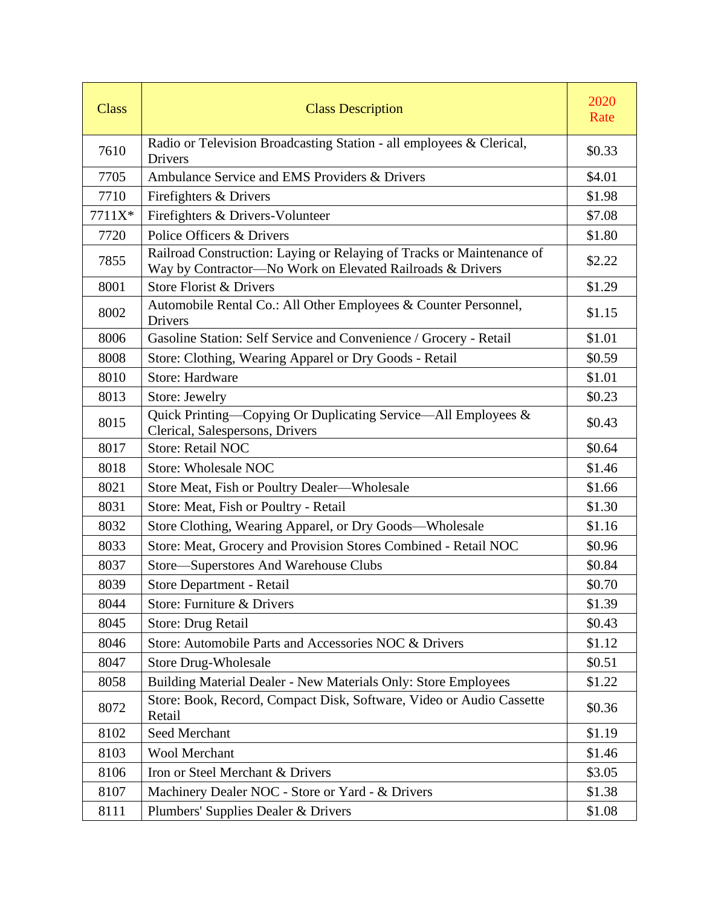| <b>Class</b> | <b>Class Description</b>                                                                                                           | 2020<br>Rate |
|--------------|------------------------------------------------------------------------------------------------------------------------------------|--------------|
| 7610         | Radio or Television Broadcasting Station - all employees & Clerical,<br>Drivers                                                    | \$0.33       |
| 7705         | Ambulance Service and EMS Providers & Drivers                                                                                      | \$4.01       |
| 7710         | Firefighters & Drivers                                                                                                             | \$1.98       |
| 7711X*       | Firefighters & Drivers-Volunteer                                                                                                   | \$7.08       |
| 7720         | Police Officers & Drivers                                                                                                          | \$1.80       |
| 7855         | Railroad Construction: Laying or Relaying of Tracks or Maintenance of<br>Way by Contractor-No Work on Elevated Railroads & Drivers | \$2.22       |
| 8001         | Store Florist & Drivers                                                                                                            | \$1.29       |
| 8002         | Automobile Rental Co.: All Other Employees & Counter Personnel,<br>Drivers                                                         | \$1.15       |
| 8006         | Gasoline Station: Self Service and Convenience / Grocery - Retail                                                                  | \$1.01       |
| 8008         | Store: Clothing, Wearing Apparel or Dry Goods - Retail                                                                             | \$0.59       |
| 8010         | <b>Store: Hardware</b>                                                                                                             | \$1.01       |
| 8013         | Store: Jewelry                                                                                                                     | \$0.23       |
| 8015         | Quick Printing-Copying Or Duplicating Service-All Employees &<br>Clerical, Salespersons, Drivers                                   | \$0.43       |
| 8017         | <b>Store: Retail NOC</b>                                                                                                           | \$0.64       |
| 8018         | <b>Store: Wholesale NOC</b>                                                                                                        | \$1.46       |
| 8021         | Store Meat, Fish or Poultry Dealer—Wholesale                                                                                       | \$1.66       |
| 8031         | Store: Meat, Fish or Poultry - Retail                                                                                              | \$1.30       |
| 8032         | Store Clothing, Wearing Apparel, or Dry Goods-Wholesale                                                                            | \$1.16       |
| 8033         | Store: Meat, Grocery and Provision Stores Combined - Retail NOC                                                                    | \$0.96       |
| 8037         | Store-Superstores And Warehouse Clubs                                                                                              | \$0.84       |
| 8039         | Store Department - Retail                                                                                                          | \$0.70       |
| 8044         | Store: Furniture & Drivers                                                                                                         | \$1.39       |
| 8045         | Store: Drug Retail                                                                                                                 | \$0.43       |
| 8046         | Store: Automobile Parts and Accessories NOC & Drivers                                                                              | \$1.12       |
| 8047         | <b>Store Drug-Wholesale</b>                                                                                                        | \$0.51       |
| 8058         | Building Material Dealer - New Materials Only: Store Employees                                                                     | \$1.22       |
| 8072         | Store: Book, Record, Compact Disk, Software, Video or Audio Cassette<br>Retail                                                     | \$0.36       |
| 8102         | <b>Seed Merchant</b>                                                                                                               | \$1.19       |
| 8103         | <b>Wool Merchant</b>                                                                                                               | \$1.46       |
| 8106         | Iron or Steel Merchant & Drivers                                                                                                   | \$3.05       |
| 8107         | Machinery Dealer NOC - Store or Yard - & Drivers                                                                                   | \$1.38       |
| 8111         | Plumbers' Supplies Dealer & Drivers                                                                                                | \$1.08       |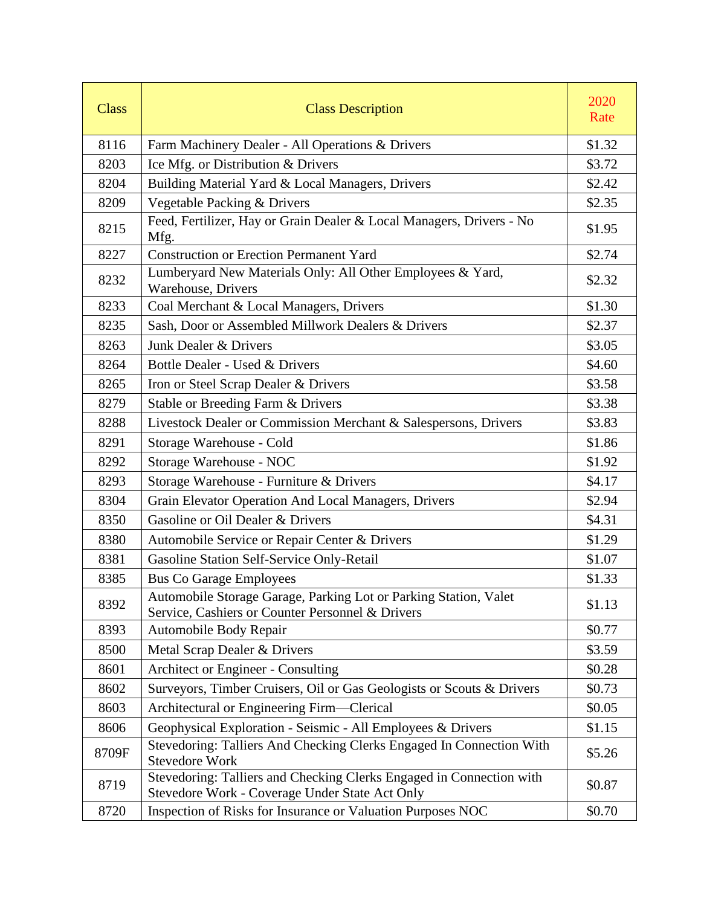| <b>Class</b> | <b>Class Description</b>                                                                                               | 2020<br>Rate |
|--------------|------------------------------------------------------------------------------------------------------------------------|--------------|
| 8116         | Farm Machinery Dealer - All Operations & Drivers                                                                       | \$1.32       |
| 8203         | Ice Mfg. or Distribution & Drivers                                                                                     | \$3.72       |
| 8204         | Building Material Yard & Local Managers, Drivers                                                                       | \$2.42       |
| 8209         | Vegetable Packing & Drivers                                                                                            | \$2.35       |
| 8215         | Feed, Fertilizer, Hay or Grain Dealer & Local Managers, Drivers - No<br>Mfg.                                           | \$1.95       |
| 8227         | <b>Construction or Erection Permanent Yard</b>                                                                         | \$2.74       |
| 8232         | Lumberyard New Materials Only: All Other Employees & Yard,<br>Warehouse, Drivers                                       | \$2.32       |
| 8233         | Coal Merchant & Local Managers, Drivers                                                                                | \$1.30       |
| 8235         | Sash, Door or Assembled Millwork Dealers & Drivers                                                                     | \$2.37       |
| 8263         | Junk Dealer & Drivers                                                                                                  | \$3.05       |
| 8264         | Bottle Dealer - Used & Drivers                                                                                         | \$4.60       |
| 8265         | Iron or Steel Scrap Dealer & Drivers                                                                                   | \$3.58       |
| 8279         | Stable or Breeding Farm & Drivers                                                                                      | \$3.38       |
| 8288         | Livestock Dealer or Commission Merchant & Salespersons, Drivers                                                        | \$3.83       |
| 8291         | Storage Warehouse - Cold                                                                                               | \$1.86       |
| 8292         | Storage Warehouse - NOC                                                                                                | \$1.92       |
| 8293         | Storage Warehouse - Furniture & Drivers                                                                                | \$4.17       |
| 8304         | Grain Elevator Operation And Local Managers, Drivers                                                                   | \$2.94       |
| 8350         | Gasoline or Oil Dealer & Drivers                                                                                       | \$4.31       |
| 8380         | Automobile Service or Repair Center & Drivers                                                                          | \$1.29       |
| 8381         | Gasoline Station Self-Service Only-Retail                                                                              | \$1.07       |
| 8385         | <b>Bus Co Garage Employees</b>                                                                                         | \$1.33       |
| 8392         | Automobile Storage Garage, Parking Lot or Parking Station, Valet<br>Service, Cashiers or Counter Personnel & Drivers   | \$1.13       |
| 8393         | Automobile Body Repair                                                                                                 | \$0.77       |
| 8500         | Metal Scrap Dealer & Drivers                                                                                           | \$3.59       |
| 8601         | Architect or Engineer - Consulting                                                                                     | \$0.28       |
| 8602         | Surveyors, Timber Cruisers, Oil or Gas Geologists or Scouts & Drivers                                                  | \$0.73       |
| 8603         | Architectural or Engineering Firm—Clerical                                                                             | \$0.05       |
| 8606         | Geophysical Exploration - Seismic - All Employees & Drivers                                                            | \$1.15       |
| 8709F        | Stevedoring: Talliers And Checking Clerks Engaged In Connection With<br><b>Stevedore Work</b>                          | \$5.26       |
| 8719         | Stevedoring: Talliers and Checking Clerks Engaged in Connection with<br>Stevedore Work - Coverage Under State Act Only | \$0.87       |
| 8720         | Inspection of Risks for Insurance or Valuation Purposes NOC                                                            | \$0.70       |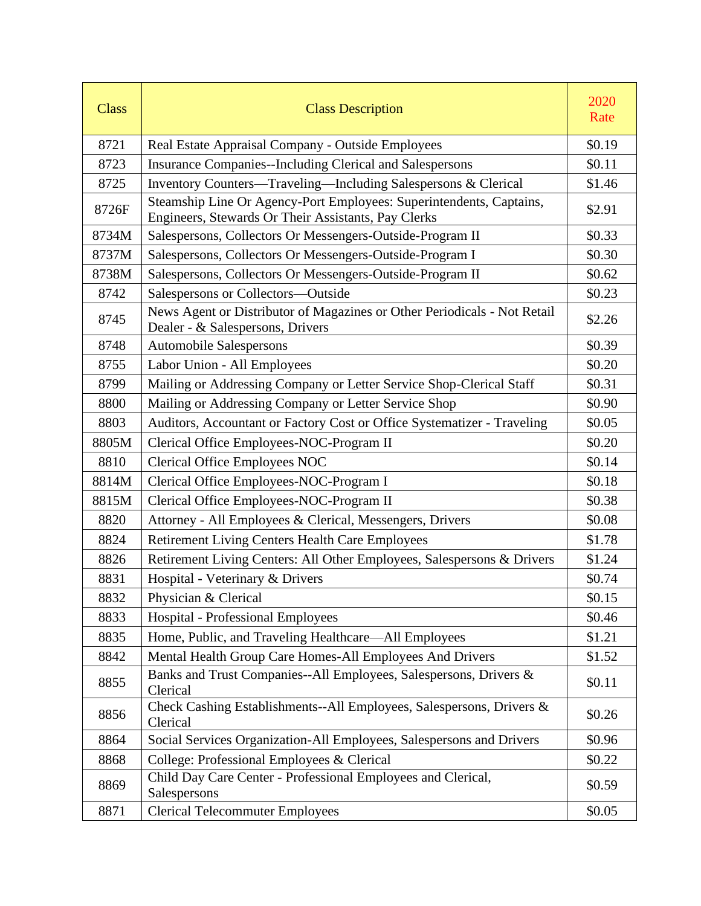| <b>Class</b> | <b>Class Description</b>                                                                                                   | 2020<br>Rate |
|--------------|----------------------------------------------------------------------------------------------------------------------------|--------------|
| 8721         | Real Estate Appraisal Company - Outside Employees                                                                          | \$0.19       |
| 8723         | Insurance Companies--Including Clerical and Salespersons                                                                   | \$0.11       |
| 8725         | Inventory Counters—Traveling—Including Salespersons & Clerical                                                             | \$1.46       |
| 8726F        | Steamship Line Or Agency-Port Employees: Superintendents, Captains,<br>Engineers, Stewards Or Their Assistants, Pay Clerks | \$2.91       |
| 8734M        | Salespersons, Collectors Or Messengers-Outside-Program II                                                                  | \$0.33       |
| 8737M        | Salespersons, Collectors Or Messengers-Outside-Program I                                                                   | \$0.30       |
| 8738M        | Salespersons, Collectors Or Messengers-Outside-Program II                                                                  | \$0.62       |
| 8742         | Salespersons or Collectors-Outside                                                                                         | \$0.23       |
| 8745         | News Agent or Distributor of Magazines or Other Periodicals - Not Retail<br>Dealer - & Salespersons, Drivers               | \$2.26       |
| 8748         | Automobile Salespersons                                                                                                    | \$0.39       |
| 8755         | Labor Union - All Employees                                                                                                | \$0.20       |
| 8799         | Mailing or Addressing Company or Letter Service Shop-Clerical Staff                                                        | \$0.31       |
| 8800         | Mailing or Addressing Company or Letter Service Shop                                                                       | \$0.90       |
| 8803         | Auditors, Accountant or Factory Cost or Office Systematizer - Traveling                                                    | \$0.05       |
| 8805M        | Clerical Office Employees-NOC-Program II                                                                                   | \$0.20       |
| 8810         | <b>Clerical Office Employees NOC</b>                                                                                       | \$0.14       |
| 8814M        | Clerical Office Employees-NOC-Program I                                                                                    | \$0.18       |
| 8815M        | Clerical Office Employees-NOC-Program II                                                                                   | \$0.38       |
| 8820         | Attorney - All Employees & Clerical, Messengers, Drivers                                                                   | \$0.08       |
| 8824         | <b>Retirement Living Centers Health Care Employees</b>                                                                     | \$1.78       |
| 8826         | Retirement Living Centers: All Other Employees, Salespersons & Drivers                                                     | \$1.24       |
| 8831         | Hospital - Veterinary & Drivers                                                                                            | \$0.74       |
| 8832         | Physician & Clerical                                                                                                       | \$0.15       |
| 8833         | <b>Hospital - Professional Employees</b>                                                                                   | \$0.46       |
| 8835         | Home, Public, and Traveling Healthcare—All Employees                                                                       | \$1.21       |
| 8842         | Mental Health Group Care Homes-All Employees And Drivers                                                                   | \$1.52       |
| 8855         | Banks and Trust Companies--All Employees, Salespersons, Drivers &<br>Clerical                                              | \$0.11       |
| 8856         | Check Cashing Establishments--All Employees, Salespersons, Drivers &<br>Clerical                                           | \$0.26       |
| 8864         | Social Services Organization-All Employees, Salespersons and Drivers                                                       | \$0.96       |
| 8868         | College: Professional Employees & Clerical                                                                                 | \$0.22       |
| 8869         | Child Day Care Center - Professional Employees and Clerical,<br>Salespersons                                               | \$0.59       |
| 8871         | <b>Clerical Telecommuter Employees</b>                                                                                     | \$0.05       |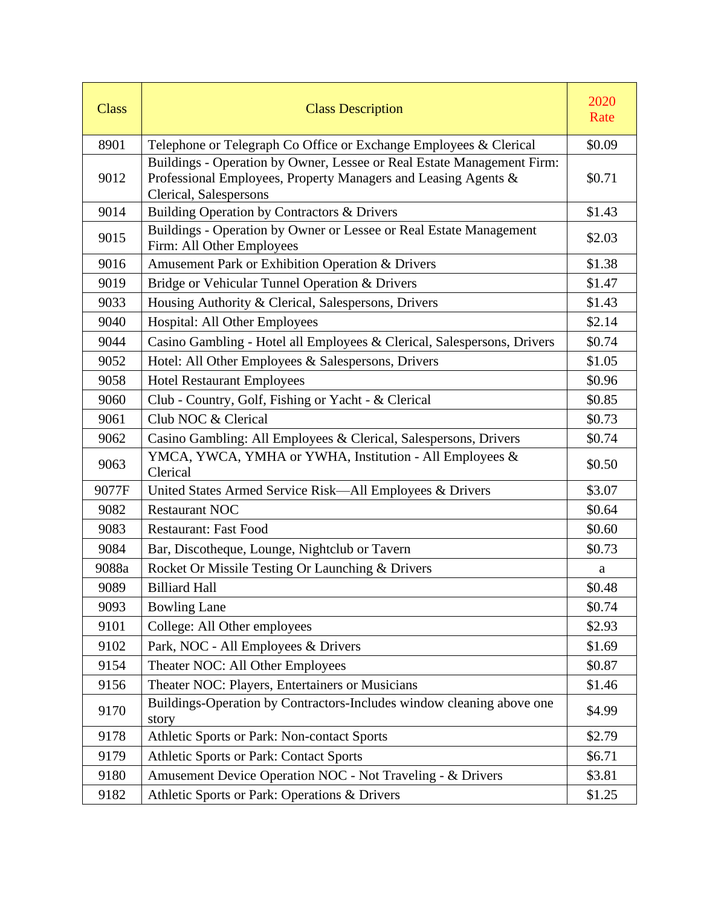| <b>Class</b> | <b>Class Description</b>                                                                                                                                           | 2020<br>Rate |
|--------------|--------------------------------------------------------------------------------------------------------------------------------------------------------------------|--------------|
| 8901         | Telephone or Telegraph Co Office or Exchange Employees & Clerical                                                                                                  | \$0.09       |
| 9012         | Buildings - Operation by Owner, Lessee or Real Estate Management Firm:<br>Professional Employees, Property Managers and Leasing Agents &<br>Clerical, Salespersons | \$0.71       |
| 9014         | Building Operation by Contractors & Drivers                                                                                                                        | \$1.43       |
| 9015         | Buildings - Operation by Owner or Lessee or Real Estate Management<br>Firm: All Other Employees                                                                    | \$2.03       |
| 9016         | Amusement Park or Exhibition Operation & Drivers                                                                                                                   | \$1.38       |
| 9019         | Bridge or Vehicular Tunnel Operation & Drivers                                                                                                                     | \$1.47       |
| 9033         | Housing Authority & Clerical, Salespersons, Drivers                                                                                                                | \$1.43       |
| 9040         | Hospital: All Other Employees                                                                                                                                      | \$2.14       |
| 9044         | Casino Gambling - Hotel all Employees & Clerical, Salespersons, Drivers                                                                                            | \$0.74       |
| 9052         | Hotel: All Other Employees & Salespersons, Drivers                                                                                                                 | \$1.05       |
| 9058         | <b>Hotel Restaurant Employees</b>                                                                                                                                  | \$0.96       |
| 9060         | Club - Country, Golf, Fishing or Yacht - & Clerical                                                                                                                | \$0.85       |
| 9061         | Club NOC & Clerical                                                                                                                                                | \$0.73       |
| 9062         | Casino Gambling: All Employees & Clerical, Salespersons, Drivers                                                                                                   | \$0.74       |
| 9063         | YMCA, YWCA, YMHA or YWHA, Institution - All Employees &<br>Clerical                                                                                                | \$0.50       |
| 9077F        | United States Armed Service Risk-All Employees & Drivers                                                                                                           | \$3.07       |
| 9082         | <b>Restaurant NOC</b>                                                                                                                                              | \$0.64       |
| 9083         | <b>Restaurant: Fast Food</b>                                                                                                                                       | \$0.60       |
| 9084         | Bar, Discotheque, Lounge, Nightclub or Tavern                                                                                                                      | \$0.73       |
| 9088a        | Rocket Or Missile Testing Or Launching & Drivers                                                                                                                   | a            |
| 9089         | <b>Billiard Hall</b>                                                                                                                                               | \$0.48       |
| 9093         | <b>Bowling Lane</b>                                                                                                                                                | \$0.74       |
| 9101         | College: All Other employees                                                                                                                                       | \$2.93       |
| 9102         | Park, NOC - All Employees & Drivers                                                                                                                                | \$1.69       |
| 9154         | Theater NOC: All Other Employees                                                                                                                                   | \$0.87       |
| 9156         | Theater NOC: Players, Entertainers or Musicians                                                                                                                    | \$1.46       |
| 9170         | Buildings-Operation by Contractors-Includes window cleaning above one<br>story                                                                                     | \$4.99       |
| 9178         | Athletic Sports or Park: Non-contact Sports                                                                                                                        | \$2.79       |
| 9179         | Athletic Sports or Park: Contact Sports                                                                                                                            | \$6.71       |
| 9180         | Amusement Device Operation NOC - Not Traveling - & Drivers                                                                                                         | \$3.81       |
| 9182         | Athletic Sports or Park: Operations & Drivers                                                                                                                      | \$1.25       |